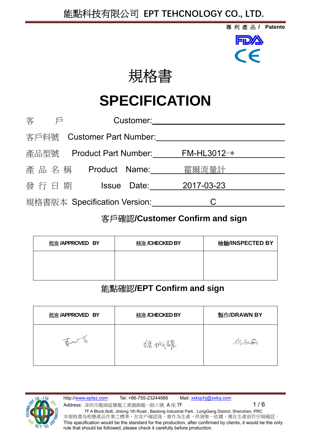## 能點科技有限公司 **EPT TEHCNOLOGY CO., LTD.**

專利產品 **/ Patente**

FDA



# **SPECIFICATION**

| 客<br>戶                       | Customer:                    |               |  |  |  |  |
|------------------------------|------------------------------|---------------|--|--|--|--|
| 客戶料號                         | <b>Customer Part Number:</b> |               |  |  |  |  |
| 產品型號                         | Product Part Number:         | $FM-HL3012-*$ |  |  |  |  |
| 產品名稱                         | Product Name:                | 霍爾流量計         |  |  |  |  |
| 發行日期                         | Date:<br><b>Issue</b>        | 2017-03-23    |  |  |  |  |
| 規格書版本 Specification Version: |                              |               |  |  |  |  |
|                              |                              |               |  |  |  |  |

## 客戶確認**/Customer Confirm and sign**

| 批准 /APPROVED BY | 核准 /CHECKED BY | 檢驗/INSPECTED BY |
|-----------------|----------------|-----------------|
|                 |                |                 |
|                 |                |                 |

## 能點確認**/EPT Confirm and sign**

| 批准 /APPROVED BY | 核准 /CHECKED BY | 製作/DRAWN BY     |  |  |
|-----------------|----------------|-----------------|--|--|
| the y           | 福城根            | $\sqrt{5}$ scon |  |  |

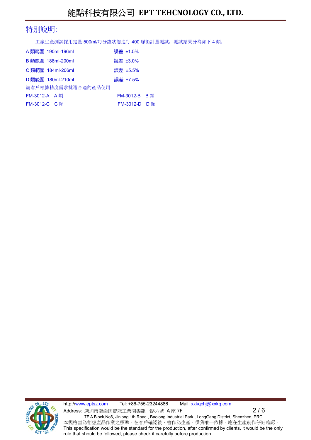#### 特別說明:

工廠生產測試採用定量 500ml/每分鐘狀態進行 400 脈衝計量測試, 測試結果分為如下 4 類:

| 誤差 ±3.0%<br>B 類範圍 188ml-200ml<br>誤差 ±5.5%<br>C 類範圍 184ml-206ml<br>誤差 ±7.5%<br>D 類範圍 180ml-210ml<br>請客戶根據精度需求挑選合適的產品使用<br><b>FM-3012-A</b> A類 | 誤差 ±1.5%      |
|----------------------------------------------------------------------------------------------------------------------------------------------|---------------|
|                                                                                                                                              |               |
|                                                                                                                                              |               |
|                                                                                                                                              |               |
|                                                                                                                                              |               |
|                                                                                                                                              | FM-3012-B B 類 |
| FM-3012-C C類                                                                                                                                 | FM-3012-D D 類 |



http://www.eptsz.com Tel: +86-755-23244886 Mail: xxkqchj@xxkq.com Address: 深圳市龍崗區寶龍工業園錦龍一路六號  $A \nsubseteq 7F$  2 / 6 7F A Block,No6, Jinlong 1th Road , Baolong Industrial Park , LongGang District, Shenzhen, PRC 本規格書為相應產品作業之標準,在客戶確認後,會作為生產、供貨唯一依據,應在生產前作仔細確認。 This specification would be the standard for the production, after confirmed by clients, it would be the only rule that should be followed, please check it carefully before production.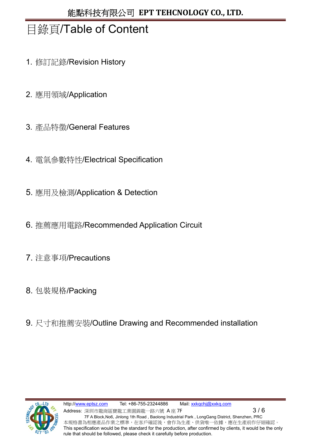## 目錄頁/Table of Content

- 1. 修訂記錄/Revision History
- 2. 應用領域/Application
- 3. 產品特徵/General Features
- 4. 電氣參數特性/Electrical Specification
- 5. 應用及檢測/Application & Detection
- 6. 推薦應用電路/Recommended Application Circuit
- 7. 注意事項/Precautions
- 8. 包裝規格/Packing
- 9. 尺寸和推薦安裝/Outline Drawing and Recommended installation

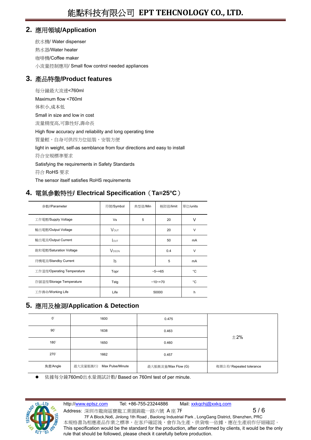#### **2.** 應用領域**/Application**

飲水機/ Water dispenser 熱水器/Water heater 咖啡機/Coffee maker 小流量控制應用/ Small flow control needed appliances

#### **3.** 產品特徵**/Product features**

每分鐘最大流速<760ml Maximum flow <760ml 体积小,成本低 Small in size and low in cost 流量精度高,可靠性好,壽命長 High flow accuracy and reliability and long operating time 質量輕,自身可供四方位組裝,安裝方便 light in weight, self-as semblance from four directions and easy to install 符合安規標準要求 Satisfying the requirements in Safety Standards 符合 RoHS 要求 The sensor itself satisfies RoHS requirements

#### **4.** 電氣參數特性**/ Electrical Specification**(**Ta=25°C**)

| 參數//Parameter              | 符號/Symbol                | 典型值/Min      | 極限值/limit | 單位/units  |
|----------------------------|--------------------------|--------------|-----------|-----------|
| 工作電壓/Supply Voltage        | Vs                       | 5            | 20        | v         |
| 輸出電壓/Output Voltage        | <b>VOUT</b>              |              | 20        | $\vee$    |
| 輸出電流/Output Current        | <b>LOUT</b>              |              | 50        | mA        |
| 飽和電壓/Saturation Voltage    | <b>V</b> <sub>DSON</sub> | 0.4          |           | $\vee$    |
| 待機電流/Standby Current       | ls.                      | 5            |           | <b>mA</b> |
| 工作溫度/Operating Temperature | Topr                     | $-5 - +65$   |           | °C        |
| 存儲溫度/Storage Temperature   | Tstg                     | $-10^{-+70}$ |           | °C        |
| 工作壽命/Working Life          | Life                     | 50000        |           | h         |

#### **5.** 應用及檢測**/Application & Detection**

| $0^{\circ}$         | 1600                      | 0.475               |                          |  |
|---------------------|---------------------------|---------------------|--------------------------|--|
| $90^\circ$          | 1638                      | 0.463               | $\pm 2\%$                |  |
| $180^\circ$<br>1650 |                           | 0.460               |                          |  |
| $270^\circ$         | 1662                      | 0.457               |                          |  |
| 角度/Angle            | 最大流量脈衝/分 Max Pulse/Minute | 最大脈衝流量/Max Flow (G) | 複測公差/ Repeated tolerance |  |

依據每分鐘760m0出水量測試計數/ Based on 760ml test of per minute.



http://www.eptsz.com Tel: +86-755-23244886 Mail: xxkqchj@xxkq.com

Address: 深圳市龍崗區寶龍工業園錦龍一路六號  $A$ 座 7F  $\hskip 10mm$  5 / 6 7F A Block,No6, Jinlong 1th Road , Baolong Industrial Park , LongGang District, Shenzhen, PRC 本規格書為相應產品作業之標準,在客戶確認後,會作為生產、供貨唯一依據,應在生產前作仔細確認。 This specification would be the standard for the production, after confirmed by clients, it would be the only rule that should be followed, please check it carefully before production.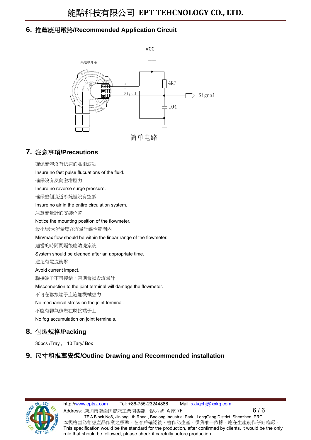#### **6.** 推薦應用電路**/Recommended Application Circuit**



#### **7.** 注意事項**/Precautions**

| 確保流體沒有快速的脈衝波動                                                    |
|------------------------------------------------------------------|
| Insure no fast pulse flucuations of the fluid.                   |
| 確保沒有反向激增壓力                                                       |
| Insure no reverse surge pressure.                                |
| 確保整個流道系統裡沒有空氣                                                    |
| Insure no air in the entire circulation system.                  |
| 注意流量計的安裝位置                                                       |
| Notice the mounting position of the flowmeter.                   |
| 最小/最大流量應在流量計線性範圍内                                                |
| Min/max flow should be within the linear range of the flowmeter. |
| 適當的時間間隔後應清洗系統                                                    |
| System should be cleaned after an appropriate time.              |
| 避免有電流衝擊                                                          |
| Avoid current impact.                                            |
| 聯接端子不可接錯,否則會損毀流量計                                                |
| Misconnection to the joint terminal will damage the flowmeter.   |
| 不可在聯接端子上施加機械應力                                                   |
| No mechanical stress on the joint terminal.                      |
| 不能有霧氣積聚在聯接端子上                                                    |
| No fog accumulation on joint terminals.                          |
| 有 壯坦故 /Dacking                                                   |

## **8.** 包裝規格**/Packing**

30pcs /Tray , 10 Tary/ Box

#### **9.** 尺寸和推薦安裝**/Outline Drawing and Recommended installation**



http://www.eptsz.com Tel: +86-755-23244886 Mail: xxkqchj@xxkq.com Address: 深圳市龍崗區寶龍工業園錦龍一路六號  $A \nsubseteq 7F$  6  $\longrightarrow$  6  $\rightarrow$  6  $\rightarrow$  6 7F A Block,No6, Jinlong 1th Road , Baolong Industrial Park , LongGang District, Shenzhen, PRC 本規格書為相應產品作業之標準,在客戶確認後,會作為生產、供貨唯一依據,應在生產前作仔細確認。 This specification would be the standard for the production, after confirmed by clients, it would be the only rule that should be followed, please check it carefully before production.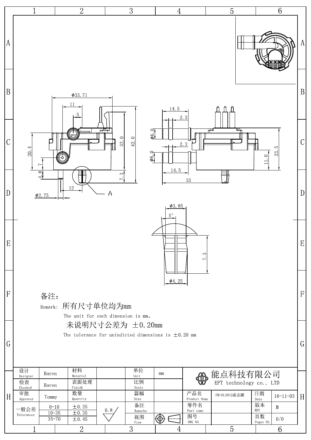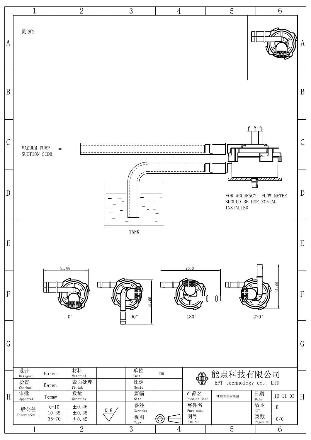